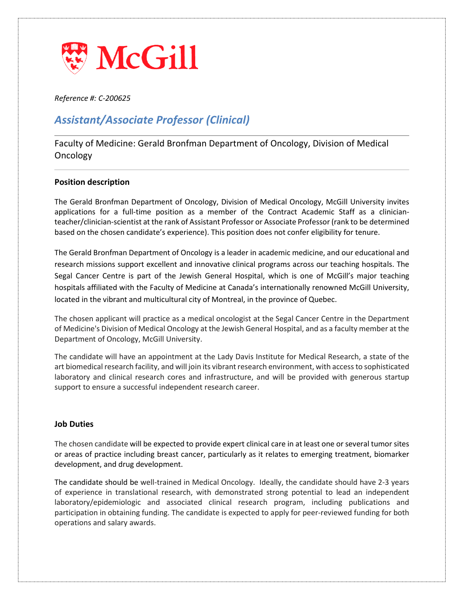

*Reference #: C-200625*

# *Assistant/Associate Professor (Clinical)*

Faculty of Medicine: Gerald Bronfman Department of Oncology, Division of Medical **Oncology** 

## **Position description**

The Gerald Bronfman Department of Oncology, Division of Medical Oncology, McGill University invites applications for a full-time position as a member of the Contract Academic Staff as a clinicianteacher/clinician-scientist at the rank of Assistant Professor or Associate Professor(rank to be determined based on the chosen candidate's experience). This position does not confer eligibility for tenure.

The Gerald Bronfman Department of Oncology is a leader in academic medicine, and our educational and research missions support excellent and innovative clinical programs across our teaching hospitals. The Segal Cancer Centre is part of the Jewish General Hospital, which is one of McGill's major teaching hospitals affiliated with the Faculty of Medicine at Canada's internationally renowned McGill University, located in the vibrant and multicultural city of Montreal, in the province of Quebec.

The chosen applicant will practice as a medical oncologist at the Segal Cancer Centre in the Department of Medicine's Division of Medical Oncology at the Jewish General Hospital, and as a faculty member at the Department of Oncology, McGill University.

The candidate will have an appointment at the Lady Davis Institute for Medical Research, a state of the art biomedical research facility, and will join its vibrant research environment, with access to sophisticated laboratory and clinical research cores and infrastructure, and will be provided with generous startup support to ensure a successful independent research career.

## **Job Duties**

The chosen candidate will be expected to provide expert clinical care in at least one or several tumor sites or areas of practice including breast cancer, particularly as it relates to emerging treatment, biomarker development, and drug development.

The candidate should be well-trained in Medical Oncology. Ideally, the candidate should have 2-3 years of experience in translational research, with demonstrated strong potential to lead an independent laboratory/epidemiologic and associated clinical research program, including publications and participation in obtaining funding. The candidate is expected to apply for peer-reviewed funding for both operations and salary awards.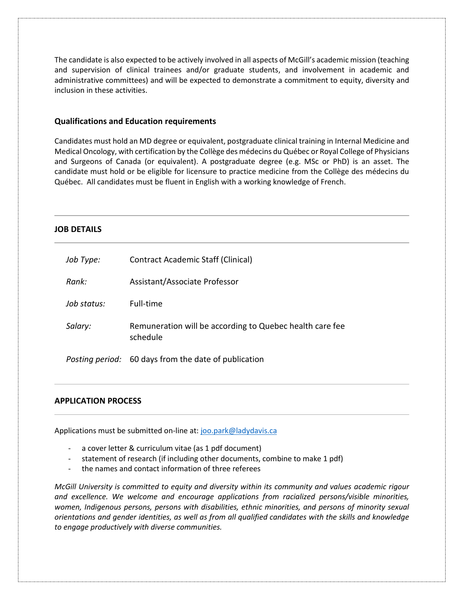The candidate is also expected to be actively involved in all aspects of McGill's academic mission (teaching and supervision of clinical trainees and/or graduate students, and involvement in academic and administrative committees) and will be expected to demonstrate a commitment to equity, diversity and inclusion in these activities.

### **Qualifications and Education requirements**

Candidates must hold an MD degree or equivalent, postgraduate clinical training in Internal Medicine and Medical Oncology, with certification by the Collège des médecins du Québec or Royal College of Physicians and Surgeons of Canada (or equivalent). A postgraduate degree (e.g. MSc or PhD) is an asset. The candidate must hold or be eligible for licensure to practice medicine from the Collège des médecins du Québec. All candidates must be fluent in English with a working knowledge of French.

## **JOB DETAILS**

| Job Type:   | Contract Academic Staff (Clinical)                                   |
|-------------|----------------------------------------------------------------------|
| Rank:       | Assistant/Associate Professor                                        |
| Job status: | Full-time                                                            |
| Salary:     | Remuneration will be according to Quebec health care fee<br>schedule |
|             | <i>Posting period:</i> 60 days from the date of publication          |

#### **APPLICATION PROCESS**

Applications must be submitted on-line at: [joo.park@ladydavis.ca](mailto:joo.park@ladydavis.ca)

- a cover letter & curriculum vitae (as 1 pdf document)
- statement of research (if including other documents, combine to make 1 pdf)
- the names and contact information of three referees

*McGill University is committed to equity and diversity within its community and values academic rigour and excellence. We welcome and encourage applications from racialized persons/visible minorities, women, Indigenous persons, persons with disabilities, ethnic minorities, and persons of minority sexual orientations and gender identities, as well as from all qualified candidates with the skills and knowledge to engage productively with diverse communities.*